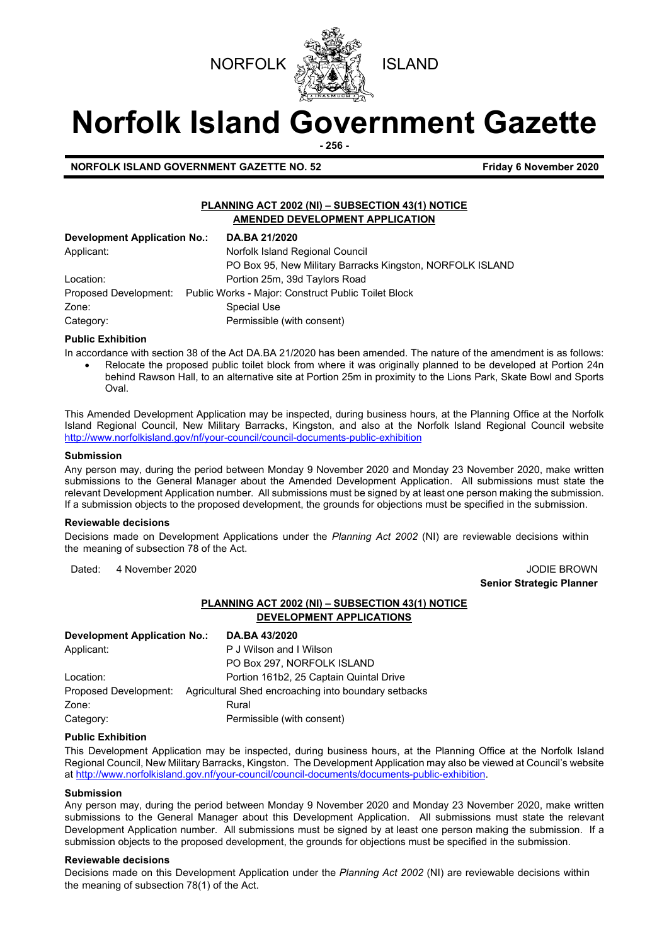



# **Norfolk Island Government Gazette**

**- 256 -**

**NORFOLK ISLAND GOVERNMENT GAZETTE NO. 52 Friday 6 November 2020**

### **PLANNING ACT 2002 (NI) – SUBSECTION 43(1) NOTICE AMENDED DEVELOPMENT APPLICATION**

| Development Application No.: | DA.BA 21/2020                                                             |
|------------------------------|---------------------------------------------------------------------------|
| Applicant:                   | Norfolk Island Regional Council                                           |
|                              | PO Box 95, New Military Barracks Kingston, NORFOLK ISLAND                 |
| Location:                    | Portion 25m, 39d Taylors Road                                             |
|                              | Proposed Development: Public Works - Major: Construct Public Toilet Block |
| Zone:                        | Special Use                                                               |
| Category:                    | Permissible (with consent)                                                |

### **Public Exhibition**

In accordance with section 38 of the Act DA.BA 21/2020 has been amended. The nature of the amendment is as follows:

• Relocate the proposed public toilet block from where it was originally planned to be developed at Portion 24n behind Rawson Hall, to an alternative site at Portion 25m in proximity to the Lions Park, Skate Bowl and Sports Oval.

This Amended Development Application may be inspected, during business hours, at the Planning Office at the Norfolk Island Regional Council, New Military Barracks, Kingston, and also at the Norfolk Island Regional Council website <http://www.norfolkisland.gov/nf/your-council/council-documents-public-exhibition>

### **Submission**

Any person may, during the period between Monday 9 November 2020 and Monday 23 November 2020, make written submissions to the General Manager about the Amended Development Application. All submissions must state the relevant Development Application number. All submissions must be signed by at least one person making the submission. If a submission objects to the proposed development, the grounds for objections must be specified in the submission.

### **Reviewable decisions**

Decisions made on Development Applications under the *Planning Act 2002* (NI) are reviewable decisions within the meaning of subsection 78 of the Act.

Dated: 4 November 2020 JODIE BROWN

**Senior Strategic Planner** 

### **PLANNING ACT 2002 (NI) – SUBSECTION 43(1) NOTICE DEVELOPMENT APPLICATIONS**

| <b>Development Application No.:</b> | DA.BA 43/2020                                        |
|-------------------------------------|------------------------------------------------------|
| Applicant:                          | P J Wilson and I Wilson                              |
|                                     | PO Box 297, NORFOLK ISLAND                           |
| Location:                           | Portion 161b2, 25 Captain Quintal Drive              |
| Proposed Development:               | Agricultural Shed encroaching into boundary setbacks |
| Zone:                               | Rural                                                |
| Category:                           | Permissible (with consent)                           |

### **Public Exhibition**

This Development Application may be inspected, during business hours, at the Planning Office at the Norfolk Island Regional Council, New Military Barracks, Kingston. The Development Application may also be viewed at Council's website a[t http://www.norfolkisland.gov.nf/your-council/council-documents/documents-public-exhibition.](http://www.norfolkisland.gov.nf/your-council/council-documents/documents-public-exhibition) 

### **Submission**

Any person may, during the period between Monday 9 November 2020 and Monday 23 November 2020, make written submissions to the General Manager about this Development Application. All submissions must state the relevant Development Application number. All submissions must be signed by at least one person making the submission. If a submission objects to the proposed development, the grounds for objections must be specified in the submission.

### **Reviewable decisions**

Decisions made on this Development Application under the *Planning Act 2002* (NI) are reviewable decisions within the meaning of subsection 78(1) of the Act.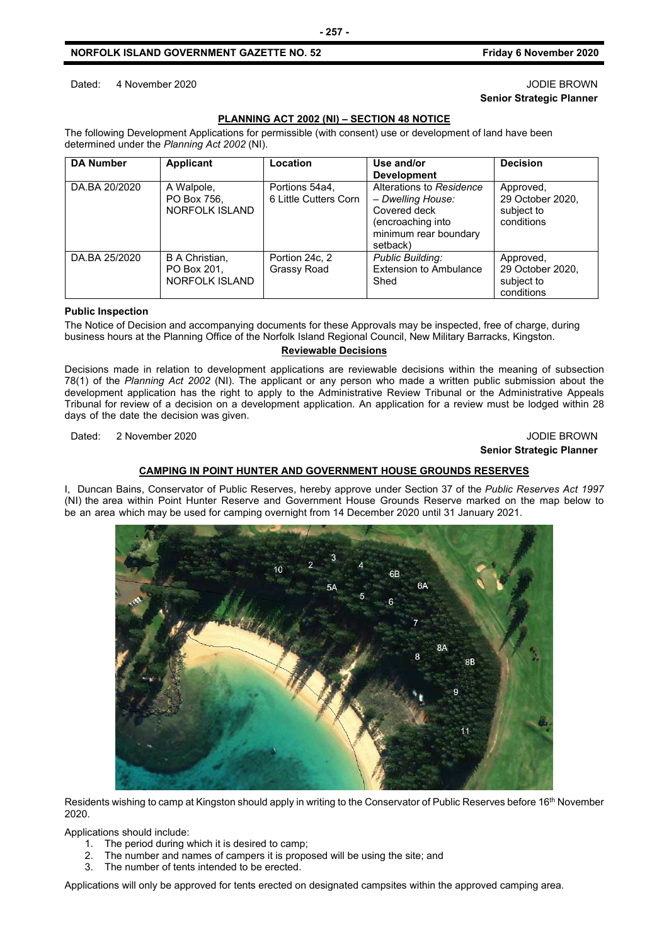Dated: 4 November 2020 JODIE BROWN

### **PLANNING ACT 2002 (NI) – SECTION 48 NOTICE**

**- 257 -**

The following Development Applications for permissible (with consent) use or development of land have been determined under the *Planning Act 2002* (NI).

| <b>DA Number</b> | Applicant                                              | Location                                | Use and/or                                                                                                              | <b>Decision</b>                                           |
|------------------|--------------------------------------------------------|-----------------------------------------|-------------------------------------------------------------------------------------------------------------------------|-----------------------------------------------------------|
|                  |                                                        |                                         | <b>Development</b>                                                                                                      |                                                           |
| DA.BA 20/2020    | A Walpole,<br>PO Box 756,<br><b>NORFOLK ISLAND</b>     | Portions 54a4,<br>6 Little Cutters Corn | Alterations to Residence<br>- Dwelling House:<br>Covered deck<br>(encroaching into<br>minimum rear boundary<br>setback) | Approved,<br>29 October 2020,<br>subject to<br>conditions |
| DA.BA 25/2020    | B A Christian,<br>PO Box 201.<br><b>NORFOLK ISLAND</b> | Portion 24c, 2<br>Grassy Road           | <b>Public Building:</b><br><b>Extension to Ambulance</b><br>Shed                                                        | Approved,<br>29 October 2020,<br>subject to<br>conditions |

### **Public Inspection**

The Notice of Decision and accompanying documents for these Approvals may be inspected, free of charge, during business hours at the Planning Office of the Norfolk Island Regional Council, New Military Barracks, Kingston.

### **Reviewable Decisions**

Decisions made in relation to development applications are reviewable decisions within the meaning of subsection 78(1) of the *Planning Act 2002* (NI). The applicant or any person who made a written public submission about the development application has the right to apply to the Administrative Review Tribunal or the Administrative Appeals Tribunal for review of a decision on a development application. An application for a review must be lodged within 28 days of the date the decision was given.

Dated: 2 November 2020 JODIE BROWN

### **Senior Strategic Planner**

### **CAMPING IN POINT HUNTER AND GOVERNMENT HOUSE GROUNDS RESERVES**

I, Duncan Bains, Conservator of Public Reserves, hereby approve under Section 37 of the *Public Reserves Act 1997* (NI) the area within Point Hunter Reserve and Government House Grounds Reserve marked on the map below to be an area which may be used for camping overnight from 14 December 2020 until 31 January 2021.

6E

6A

 $8B$  $11$ 

Residents wishing to camp at Kingston should apply in writing to the Conservator of Public Reserves before 16<sup>th</sup> November 2020.

Applications should include:

- 1. The period during which it is desired to camp;
- 2. The number and names of campers it is proposed will be using the site; and
- 3. The number of tents intended to be erected.

Applications will only be approved for tents erected on designated campsites within the approved camping area.

**Senior Strategic Planner**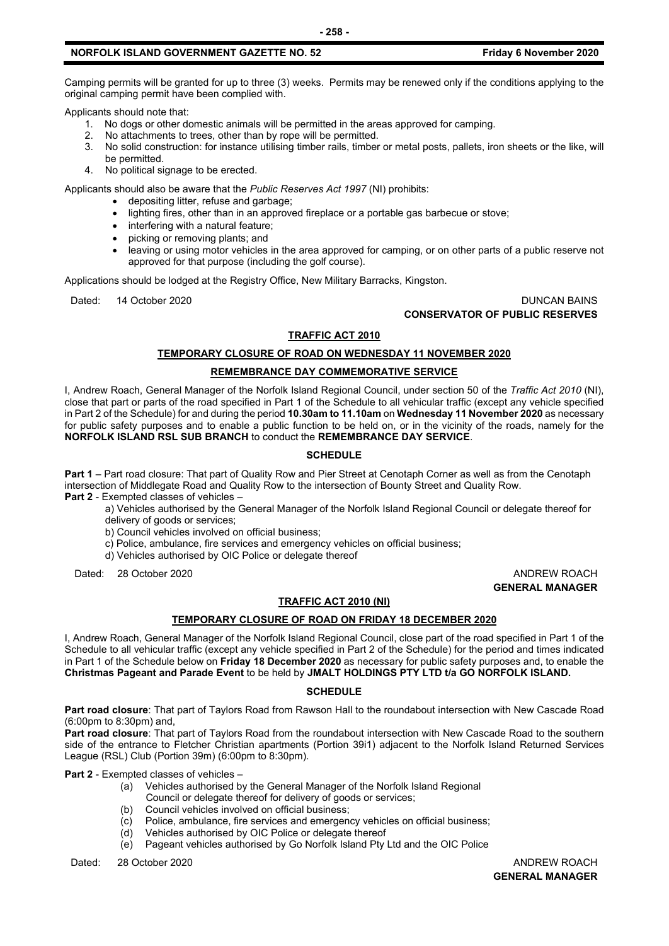Camping permits will be granted for up to three (3) weeks. Permits may be renewed only if the conditions applying to the original camping permit have been complied with.

Applicants should note that:

- 1. No dogs or other domestic animals will be permitted in the areas approved for camping.
- 2. No attachments to trees, other than by rope will be permitted.
- 3. No solid construction: for instance utilising timber rails, timber or metal posts, pallets, iron sheets or the like, will be permitted.
- 4. No political signage to be erected.

Applicants should also be aware that the *Public Reserves Act 1997* (NI) prohibits:

- depositing litter, refuse and garbage;
- lighting fires, other than in an approved fireplace or a portable gas barbecue or stove;
- interfering with a natural feature;
- picking or removing plants; and
- leaving or using motor vehicles in the area approved for camping, or on other parts of a public reserve not approved for that purpose (including the golf course).

Applications should be lodged at the Registry Office, New Military Barracks, Kingston.

### Dated: 14 October 2020 DUNCAN BAINS **CONSERVATOR OF PUBLIC RESERVES**

### **TRAFFIC ACT 2010**

### **TEMPORARY CLOSURE OF ROAD ON WEDNESDAY 11 NOVEMBER 2020**

### **REMEMBRANCE DAY COMMEMORATIVE SERVICE**

I, Andrew Roach, General Manager of the Norfolk Island Regional Council, under section 50 of the *Traffic Act 2010* (NI), close that part or parts of the road specified in Part 1 of the Schedule to all vehicular traffic (except any vehicle specified in Part 2 of the Schedule) for and during the period **10.30am to 11.10am** on **Wednesday 11 November 2020** as necessary for public safety purposes and to enable a public function to be held on, or in the vicinity of the roads, namely for the **NORFOLK ISLAND RSL SUB BRANCH** to conduct the **REMEMBRANCE DAY SERVICE**.

### **SCHEDULE**

**Part 1** – Part road closure: That part of Quality Row and Pier Street at Cenotaph Corner as well as from the Cenotaph intersection of Middlegate Road and Quality Row to the intersection of Bounty Street and Quality Row. **Part 2** - Exempted classes of vehicles –

a) Vehicles authorised by the General Manager of the Norfolk Island Regional Council or delegate thereof for delivery of goods or services;

b) Council vehicles involved on official business;

- c) Police, ambulance, fire services and emergency vehicles on official business;
- d) Vehicles authorised by OIC Police or delegate thereof

Dated: 28 October 2020 ANDREW ROACH

## **GENERAL MANAGER**

### **TRAFFIC ACT 2010 (NI)**

### **TEMPORARY CLOSURE OF ROAD ON FRIDAY 18 DECEMBER 2020**

I, Andrew Roach, General Manager of the Norfolk Island Regional Council, close part of the road specified in Part 1 of the Schedule to all vehicular traffic (except any vehicle specified in Part 2 of the Schedule) for the period and times indicated in Part 1 of the Schedule below on **Friday 18 December 2020** as necessary for public safety purposes and, to enable the **Christmas Pageant and Parade Event** to be held by **JMALT HOLDINGS PTY LTD t/a GO NORFOLK ISLAND.**

### **SCHEDULE**

**Part road closure**: That part of Taylors Road from Rawson Hall to the roundabout intersection with New Cascade Road (6:00pm to 8:30pm) and,

**Part road closure**: That part of Taylors Road from the roundabout intersection with New Cascade Road to the southern side of the entrance to Fletcher Christian apartments (Portion 39i1) adjacent to the Norfolk Island Returned Services League (RSL) Club (Portion 39m) (6:00pm to 8:30pm).

**Part 2** - Exempted classes of vehicles –

- (a) Vehicles authorised by the General Manager of the Norfolk Island Regional
- Council or delegate thereof for delivery of goods or services;
- (b) Council vehicles involved on official business;
- (c) Police, ambulance, fire services and emergency vehicles on official business;
- (d) Vehicles authorised by OIC Police or delegate thereof
- (e) Pageant vehicles authorised by Go Norfolk Island Pty Ltd and the OIC Police

Dated: 28 October 2020 ANDREW ROACH

### **GENERAL MANAGER**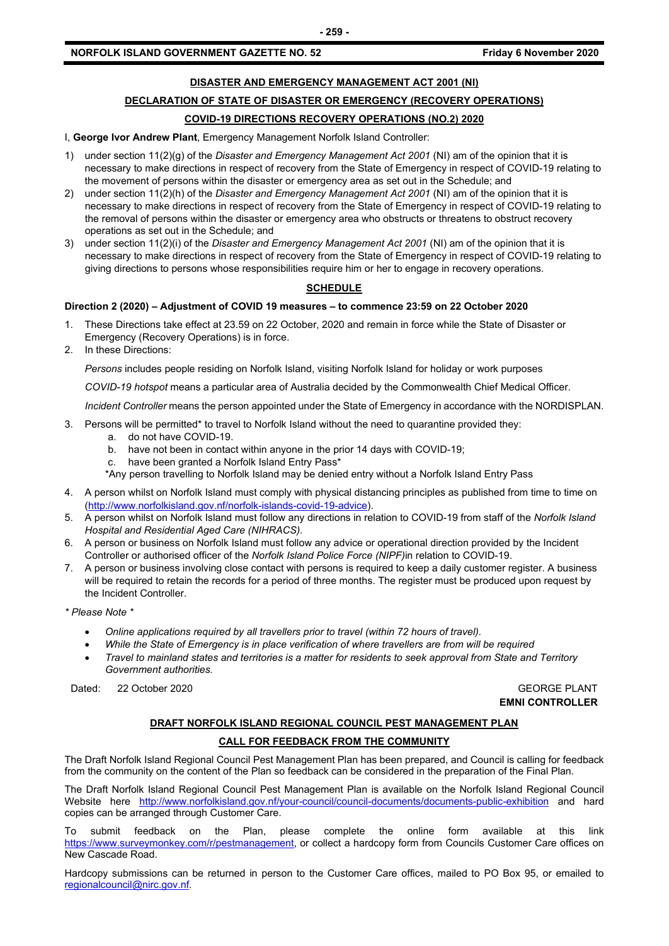### **DISASTER AND EMERGENCY MANAGEMENT ACT 2001 (NI)**

### **DECLARATION OF STATE OF DISASTER OR EMERGENCY (RECOVERY OPERATIONS)**

### **COVID-19 DIRECTIONS RECOVERY OPERATIONS (NO.2) 2020**

I, **George Ivor Andrew Plant**, Emergency Management Norfolk Island Controller:

- 1) under section 11(2)(g) of the *Disaster and Emergency Management Act 2001* (NI) am of the opinion that it is necessary to make directions in respect of recovery from the State of Emergency in respect of COVID-19 relating to the movement of persons within the disaster or emergency area as set out in the Schedule; and
- 2) under section 11(2)(h) of the *Disaster and Emergency Management Act 2001* (NI) am of the opinion that it is necessary to make directions in respect of recovery from the State of Emergency in respect of COVID-19 relating to the removal of persons within the disaster or emergency area who obstructs or threatens to obstruct recovery operations as set out in the Schedule; and
- 3) under section 11(2)(i) of the *Disaster and Emergency Management Act 2001* (NI) am of the opinion that it is necessary to make directions in respect of recovery from the State of Emergency in respect of COVID-19 relating to giving directions to persons whose responsibilities require him or her to engage in recovery operations.

### **SCHEDULE**

### **Direction 2 (2020) – Adjustment of COVID 19 measures – to commence 23:59 on 22 October 2020**

- 1. These Directions take effect at 23.59 on 22 October, 2020 and remain in force while the State of Disaster or Emergency (Recovery Operations) is in force.
- 2. In these Directions:

*Persons* includes people residing on Norfolk Island, visiting Norfolk Island for holiday or work purposes

*COVID-19 hotspot* means a particular area of Australia decided by the Commonwealth Chief Medical Officer.

*Incident Controller* means the person appointed under the State of Emergency in accordance with the NORDISPLAN.

- 3. Persons will be permitted\* to travel to Norfolk Island without the need to quarantine provided they:
	- a. do not have COVID-19.
	- b. have not been in contact within anyone in the prior 14 days with COVID-19;
	- c. have been granted a Norfolk Island Entry Pass\*
	- \*Any person travelling to Norfolk Island may be denied entry without a Norfolk Island Entry Pass
- 4. A person whilst on Norfolk Island must comply with physical distancing principles as published from time to time on [\(http://www.norfolkisland.gov.nf/norfolk-islands-covid-19-advice\)](http://www.norfolkisland.gov.nf/norfolk-islands-covid-19-advice).
- 5. A person whilst on Norfolk Island must follow any directions in relation to COVID-19 from staff of the *Norfolk Island Hospital and Residential Aged Care (NIHRACS).*
- 6. A person or business on Norfolk Island must follow any advice or operational direction provided by the Incident Controller or authorised officer of the *Norfolk Island Police Force (NIPF)*in relation to COVID-19.
- 7. A person or business involving close contact with persons is required to keep a daily customer register. A business will be required to retain the records for a period of three months. The register must be produced upon request by the Incident Controller.
- *\* Please Note \**
	- *Online applications required by all travellers prior to travel (within 72 hours of travel).*
	- *While the State of Emergency is in place verification of where travellers are from will be required*
	- *Travel to mainland states and territories is a matter for residents to seek approval from State and Territory Government authorities.*

Dated: 22 October 2020 GEORGE PLANT

**EMNI CONTROLLER**

### **DRAFT NORFOLK ISLAND REGIONAL COUNCIL PEST MANAGEMENT PLAN**

### **CALL FOR FEEDBACK FROM THE COMMUNITY**

The Draft Norfolk Island Regional Council Pest Management Plan has been prepared, and Council is calling for feedback from the community on the content of the Plan so feedback can be considered in the preparation of the Final Plan.

The Draft Norfolk Island Regional Council Pest Management Plan is available on the Norfolk Island Regional Council Website here <http://www.norfolkisland.gov.nf/your-council/council-documents/documents-public-exhibition> and hard copies can be arranged through Customer Care.

To submit feedback on the Plan, please complete the online form available at this link [https://www.surveymonkey.com/r/pestmanagement,](https://www.surveymonkey.com/r/pestmanagement) or collect a hardcopy form from Councils Customer Care offices on New Cascade Road.

Hardcopy submissions can be returned in person to the Customer Care offices, mailed to PO Box 95, or emailed to [regionalcouncil@nirc.gov.nf.](mailto:regionalcouncil@nirc.gov.nf)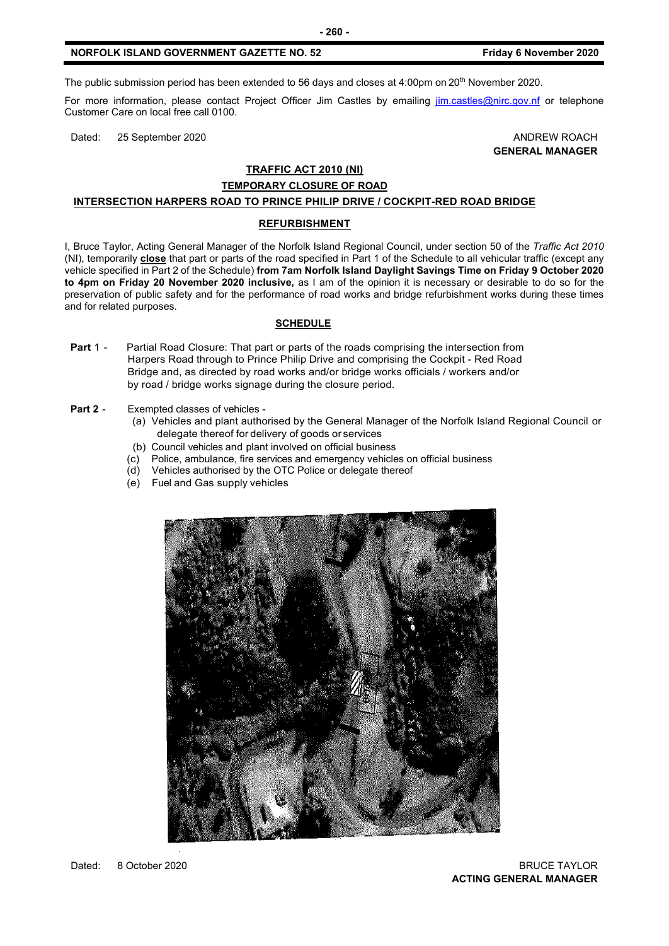The public submission period has been extended to 56 days and closes at 4:00pm on 20<sup>th</sup> November 2020.

For more information, please contact Project Officer Jim Castles by emailing [jim.castles@nirc.gov.nf](mailto:jim.castles@nirc.gov.nf) or telephone Customer Care on local free call 0100.

Dated: 25 September 2020 **ANDREW ROACH** 

### **GENERAL MANAGER**

### **TRAFFIC ACT 2010 (NI)**

### **TEMPORARY CLOSURE OF ROAD**

### **INTERSECTION HARPERS ROAD TO PRINCE PHILIP DRIVE / COCKPIT-RED ROAD BRIDGE**

#### **REFURBISHMENT**

I, Bruce Taylor, Acting General Manager of the Norfolk Island Regional Council, under section 50 of the *Traffic Act 2010* (NI), temporarily **close** that part or parts of the road specified in Part 1 of the Schedule to all vehicular traffic (except any vehicle specified in Part 2 of the Schedule) **from 7am Norfolk Island Daylight Savings Time on Friday 9 October 2020 to 4pm on Friday 20 November 2020 inclusive,** as I am of the opinion it is necessary or desirable to do so for the preservation of public safety and for the performance of road works and bridge refurbishment works during these times and for related purposes.

#### **SCHEDULE**

- **Part 1 -** Partial Road Closure: That part or parts of the roads comprising the intersection from Harpers Road through to Prince Philip Drive and comprising the Cockpit - Red Road Bridge and, as directed by road works and/or bridge works officials / workers and/or by road / bridge works signage during the closure period.
- **Part 2** Exempted classes of vehicles
	- (a) Vehicles and plant authorised by the General Manager of the Norfolk Island Regional Council or delegate thereof for delivery of goods or services
	- (b) Council vehicles and plant involved on official business
	- (c) Police, ambulance, fire services and emergency vehicles on official business
	- (d) Vehicles authorised by the OTC Police or delegate thereof
	- (e) Fuel and Gas supply vehicles

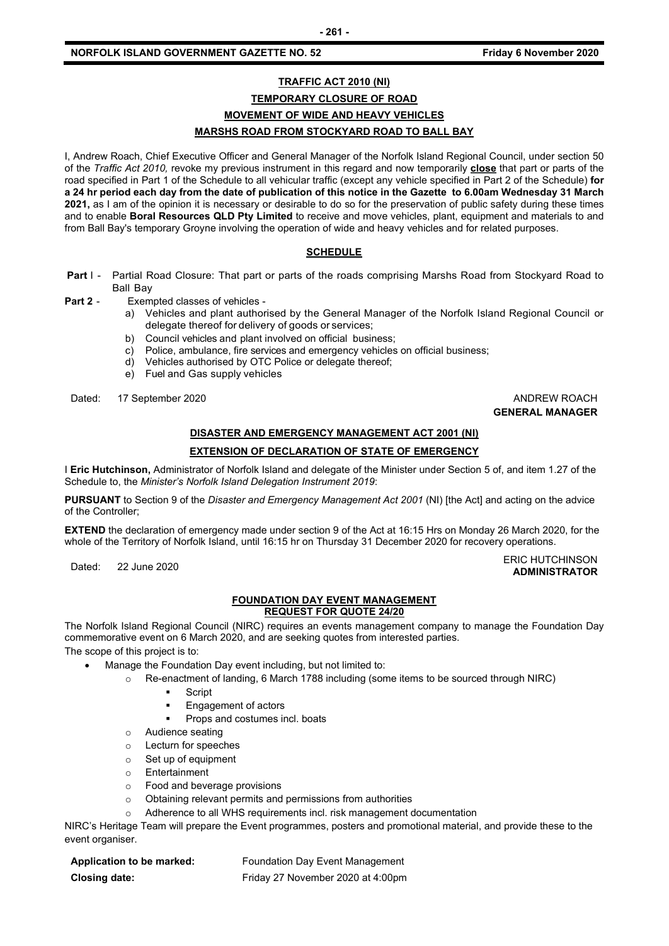### **TRAFFIC ACT 2010 (NI) TEMPORARY CLOSURE OF ROAD MOVEMENT OF WIDE AND HEAVY VEHICLES MARSHS ROAD FROM STOCKYARD ROAD TO BALL BAY**

I, Andrew Roach, Chief Executive Officer and General Manager of the Norfolk Island Regional Council, under section 50 of the *Traffic Act 2010,* revoke my previous instrument in this regard and now temporarily **close** that part or parts of the road specified in Part 1 of the Schedule to all vehicular traffic (except any vehicle specified in Part 2 of the Schedule) **for a 24 hr period each day from the date of publication of this notice in the Gazette to 6.00am Wednesday 31 March 2021,** as I am of the opinion it is necessary or desirable to do so for the preservation of public safety during these times and to enable **Boral Resources QLD Pty Limited** to receive and move vehicles, plant, equipment and materials to and from Ball Bay's temporary Groyne involving the operation of wide and heavy vehicles and for related purposes.

### **SCHEDULE**

- **Part I -** Partial Road Closure: That part or parts of the roads comprising Marshs Road from Stockyard Road to Ball Bay
- **Part 2** Exempted classes of vehicles
	- a) Vehicles and plant authorised by the General Manager of the Norfolk Island Regional Council or delegate thereof for delivery of goods or services;
	- b) Council vehicles and plant involved on official business;
	- c) Police, ambulance, fire services and emergency vehicles on official business;
	- d) Vehicles authorised by OTC Police or delegate thereof;
	- e) Fuel and Gas supply vehicles

Dated: 17 September 2020 **ANDREW ROACH ANDREW ROACH** 

# **GENERAL MANAGER**

**ADMINISTRATOR**

### **DISASTER AND EMERGENCY MANAGEMENT ACT 2001 (NI) EXTENSION OF DECLARATION OF STATE OF EMERGENCY**

I **Eric Hutchinson,** Administrator of Norfolk Island and delegate of the Minister under Section 5 of, and item 1.27 of the Schedule to, the *Minister's Norfolk Island Delegation Instrument 2019*:

**PURSUANT** to Section 9 of the *Disaster and Emergency Management Act 2001* (NI) [the Act] and acting on the advice of the Controller;

**EXTEND** the declaration of emergency made under section 9 of the Act at 16:15 Hrs on Monday 26 March 2020, for the whole of the Territory of Norfolk Island, until 16:15 hr on Thursday 31 December 2020 for recovery operations.

Dated: 22 June 2020<br>Dated: 22 June 2020

#### **FOUNDATION DAY EVENT MANAGEMENT REQUEST FOR QUOTE 24/20**

The Norfolk Island Regional Council (NIRC) requires an events management company to manage the Foundation Day commemorative event on 6 March 2020, and are seeking quotes from interested parties. The scope of this project is to:

Manage the Foundation Day event including, but not limited to:

- o Re-enactment of landing, 6 March 1788 including (some items to be sourced through NIRC)
	- Script
	- Engagement of actors
	- Props and costumes incl. boats
	- o Audience seating
	- o Lecturn for speeches
	- o Set up of equipment
	- o Entertainment
	- o Food and beverage provisions
	- o Obtaining relevant permits and permissions from authorities
	- Adherence to all WHS requirements incl. risk management documentation

NIRC's Heritage Team will prepare the Event programmes, posters and promotional material, and provide these to the event organiser.

| Application to be marked: | Foundation Day Event Management   |
|---------------------------|-----------------------------------|
| Closing date:             | Friday 27 November 2020 at 4:00pm |